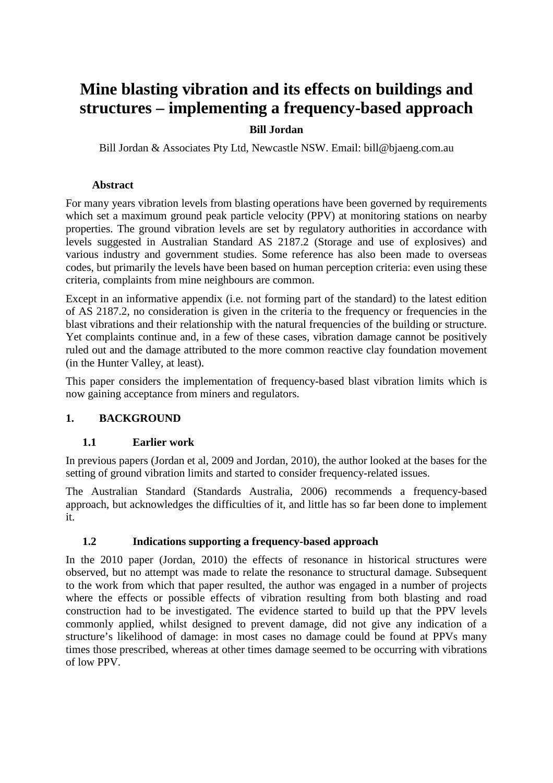# Mine blasting vibration and its effects on buildings and structures € implementing a frequency based approach

Bill Jordan

Bill Jordan & Associates Pty Ltd, Newcastle NSW. E[mail: bill@bjaeng.co](mailto:bill@bjaeng.com.au)m.au

## **Abstract**

For many years vibration levels from blasting **rations** have been governed by requirements which set a maximum ground peak particle velocity (PPV) at monitoring stations on nearby properties. The ground vibration levels are set by regulatory authorities in accordance with levels suggested in Australiandard AS 2187.2 (Storage and use of explosives) and various industry and government studies. Some reference has also been made to overseas codes, but primarily the levels have been based on human perception criteria: even using these criteria, complaint from mine neighbours are common.

Except in an informative appendix (i.e. not forming part of the standard) to the latest edition of AS 2187.2, no consideration is given in the criteria to the frequency or frequencies in the blast vibrations and their retionship with the natural frequencies of the building or structure. Yet complaints continue and, in a few of these cases, vibration damage cannot be positively ruled out and the damage attributed to the more common reactive clay foundation movement (in the Hunter Valley, at least).

This paper considers the implementation of frequency blast vibration limits which is now gaining acceptance from miners and regulators.

## 1. BACKGROUND

## 1.1 Earlier work

In previous papers (Jordan et al, 2009 and Jordan, 2010), the looked at the bases for the setting of ground vibration limits and started to consider frequeriated issues.

The Australian Standard (Standards Australia, 2006) recommends a frequasedy approach, but acknowledges the difficulties of it, lattle has so far been done to implement it.

# 1.2 Indications supporting a frequencybased approach

In the 2010 paper (Jordan, 2010) the effects of resonance in historical structures were observed, but no attempt was made to relate the resonance to structural d Subsequent to the work from which that paper resulted, the author was engaged in a number of projects where the effects or possible effects of vibration resulting from both blasting and road construction had to be investigated. The evidence started tild up that the PPV levels commonly applied, whilst designed to prevent damage, did not give any indication of a structure€s likelihood of damage: in most cases no damage could be found at PPVs many times those prescribed, whereas at other times dase the dome occurring with vibrations of low PPV.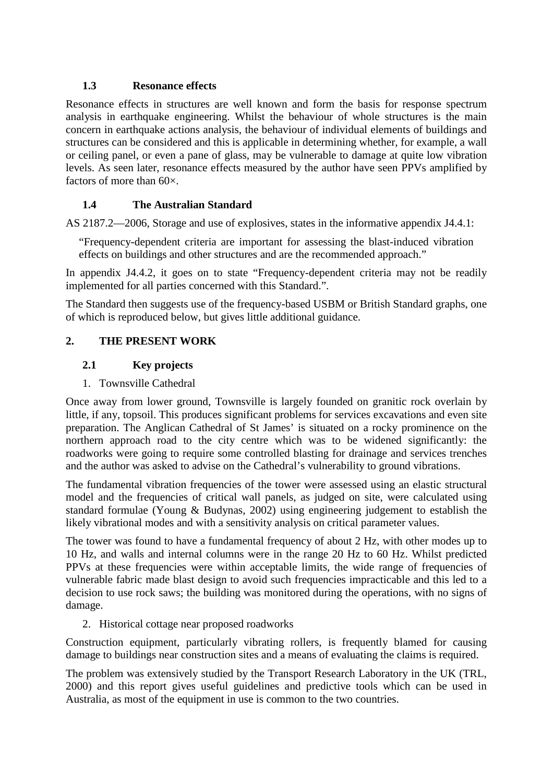## **1.3 Resonance effects**

Resonance effects in structures are well known and form the basis for response spectrum analysis in earthquake engineering. Whilst the behaviour of whole structures is the main concern in earthquake actions analysis, the behaviour of individual elements of buildings and structures can be considered and this is applicable in determining whether, for example, a wall or ceiling panel, or even a pane of glass, may be vulnerable to damage at quite low vibration levels. As seen later, resonance effects measured by the author have seen PPVs amplified by factors of more than 60 $\times$ .

## **1.4 The Australian Standard**

AS 2187.2—2006, Storage and use of explosives, states in the informative appendix J4.4.1:

"Frequency-dependent criteria are important for assessing the blast-induced vibration effects on buildings and other structures and are the recommended approach."

In appendix J4.4.2, it goes on to state "Frequency-dependent criteria may not be readily implemented for all parties concerned with this Standard.".

The Standard then suggests use of the frequency-based USBM or British Standard graphs, one of which is reproduced below, but gives little additional guidance.

## **2. THE PRESENT WORK**

## **2.1 Key projects**

#### 1. Townsville Cathedral

Once away from lower ground, Townsville is largely founded on granitic rock overlain by little, if any, topsoil. This produces significant problems for services excavations and even site preparation. The Anglican Cathedral of St James' is situated on a rocky prominence on the northern approach road to the city centre which was to be widened significantly: the roadworks were going to require some controlled blasting for drainage and services trenches and the author was asked to advise on the Cathedral's vulnerability to ground vibrations.

The fundamental vibration frequencies of the tower were assessed using an elastic structural model and the frequencies of critical wall panels, as judged on site, were calculated using standard formulae (Young & Budynas, 2002) using engineering judgement to establish the likely vibrational modes and with a sensitivity analysis on critical parameter values.

The tower was found to have a fundamental frequency of about 2 Hz, with other modes up to 10 Hz, and walls and internal columns were in the range 20 Hz to 60 Hz. Whilst predicted PPVs at these frequencies were within acceptable limits, the wide range of frequencies of vulnerable fabric made blast design to avoid such frequencies impracticable and this led to a decision to use rock saws; the building was monitored during the operations, with no signs of damage.

2. Historical cottage near proposed roadworks

Construction equipment, particularly vibrating rollers, is frequently blamed for causing damage to buildings near construction sites and a means of evaluating the claims is required.

The problem was extensively studied by the Transport Research Laboratory in the UK (TRL, 2000) and this report gives useful guidelines and predictive tools which can be used in Australia, as most of the equipment in use is common to the two countries.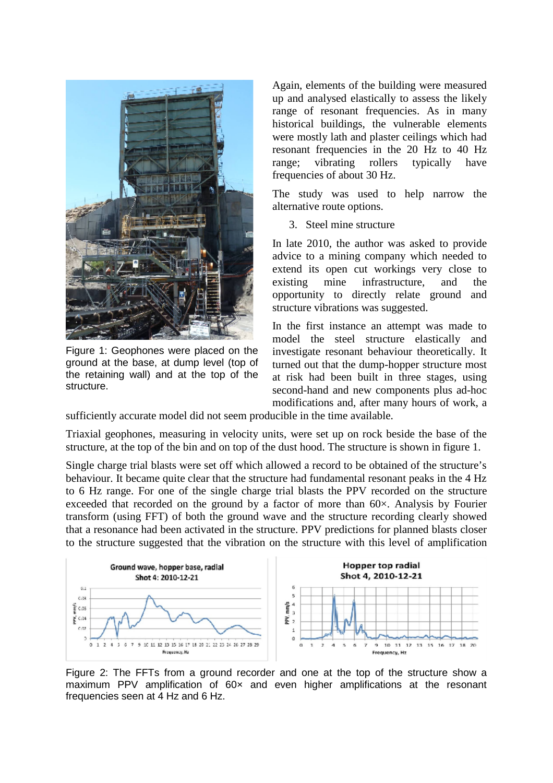

Figure 1: Geophones were placed on the ground at the base, at dump level (top of the retaining wall) and at the top of the structure.

Again, elements of the building were measured up and analysed elastically to assess the likely range of resonant frequencies. As in many historical buildings, the vulnerable elements were mostly lath and plaster ceilings which had resonant frequencies in the 20 Hz to 40 Hz range; vibrating rollers typically have frequencies of about 30 Hz.

The study was used to help narrow the alternative route options.

3. Steel mine structure

In late 2010, the author was asked to provide advice to a mining company which needed to extend its open cut workings very close to existing mine infrastructure, and the opportunity to directly relate ground and structure vibrations was suggested.

In the first instance an attempt was made to model the steel structure elastically and investigate resonant behaviour theoretically. It turned out that the dump-hopper structure most at risk had been built in three stages, using second-hand and new components plus ad-hoc modifications and, after many hours of work, a

sufficiently accurate model did not seem producible in the time available.

Triaxial geophones, measuring in velocity units, were set up on rock beside the base of the structure, at the top of the bin and on top of the dust hood. The structure is shown in figure 1.

Single charge trial blasts were set off which allowed a record to be obtained of the structure's behaviour. It became quite clear that the structure had fundamental resonant peaks in the 4 Hz to 6 Hz range. For one of the single charge trial blasts the PPV recorded on the structure exceeded that recorded on the ground by a factor of more than 60×. Analysis by Fourier transform (using FFT) of both the ground wave and the structure recording clearly showed that a resonance had been activated in the structure. PPV predictions for planned blasts closer to the structure suggested that the vibration on the structure with this level of amplification



Figure 2: The FFTs from a ground recorder and one at the top of the structure show a maximum PPV amplification of 60x and even higher amplifications at the resonant frequencies seen at 4 Hz and 6 Hz.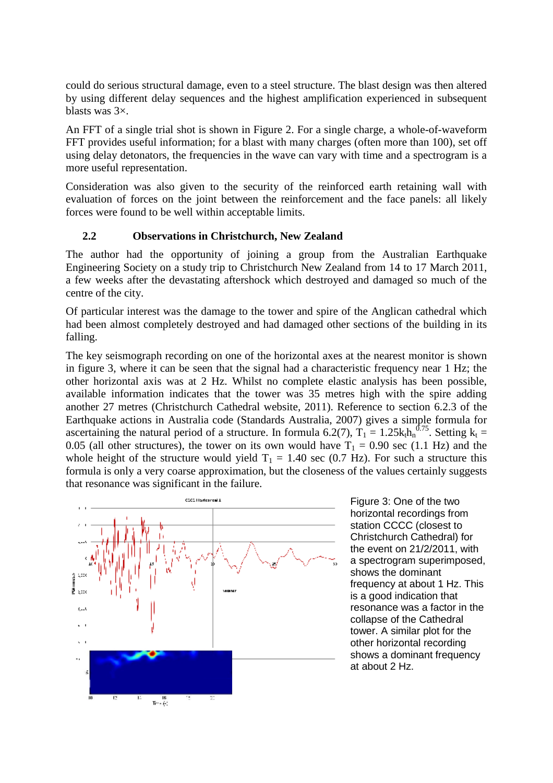could do serious structural damage, even to a steel structure. The blast design was then altered by using different delay sequences and the highest amplification experienced in subsequent blasts was 3×.

An FFT of a single trial shot is shown in Figure 2. For a single charge, a whole-of-waveform FFT provides useful information; for a blast with many charges (often more than 100), set off using delay detonators, the frequencies in the wave can vary with time and a spectrogram is a more useful representation.

Consideration was also given to the security of the reinforced earth retaining wall with evaluation of forces on the joint between the reinforcement and the face panels: all likely forces were found to be well within acceptable limits.

#### **2.2 Observations in Christchurch, New Zealand**

The author had the opportunity of joining a group from the Australian Earthquake Engineering Society on a study trip to Christchurch New Zealand from 14 to 17 March 2011, a few weeks after the devastating aftershock which destroyed and damaged so much of the centre of the city.

Of particular interest was the damage to the tower and spire of the Anglican cathedral which had been almost completely destroyed and had damaged other sections of the building in its falling.

The key seismograph recording on one of the horizontal axes at the nearest monitor is shown in figure 3, where it can be seen that the signal had a characteristic frequency near 1 Hz; the other horizontal axis was at 2 Hz. Whilst no complete elastic analysis has been possible, available information indicates that the tower was 35 metres high with the spire adding another 27 metres (Christchurch Cathedral website, 2011). Reference to section 6.2.3 of the Earthquake actions in Australia code (Standards Australia, 2007) gives a simple formula for ascertaining the natural period of a structure. In formula 6.2(7),  $T_1 = 1.25k_t h_n^{0.75}$ . Setting  $k_t =$ 0.05 (all other structures), the tower on its own would have  $T_1 = 0.90$  sec (1.1 Hz) and the whole height of the structure would yield  $T_1 = 1.40$  sec (0.7 Hz). For such a structure this formula is only a very coarse approximation, but the closeness of the values certainly suggests that resonance was significant in the failure.



Figure 3: One of the two horizontal recordings from station CCCC (closest to Christchurch Cathedral) for the event on 21/2/2011, with a spectrogram superimposed, shows the dominant frequency at about 1 Hz. This is a good indication that resonance was a factor in the collapse of the Cathedral tower. A similar plot for the other horizontal recording shows a dominant frequency at about 2 Hz.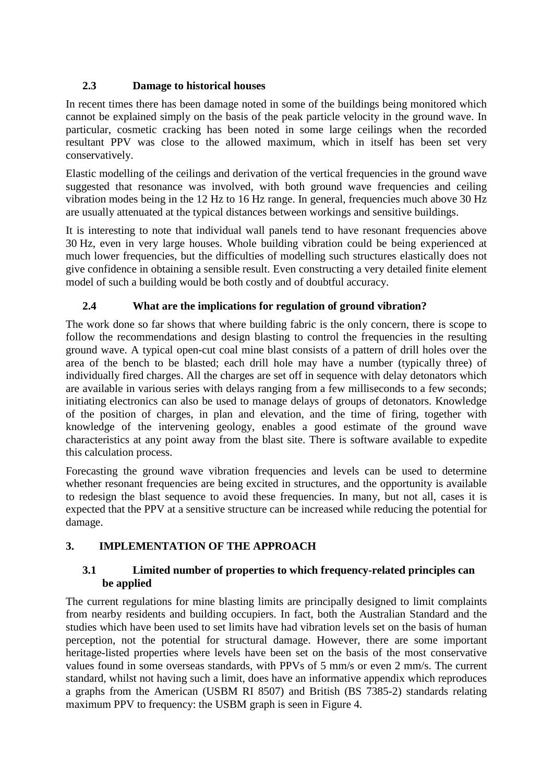## **2.3 Damage to historical houses**

In recent times there has been damage noted in some of the buildings being monitored which cannot be explained simply on the basis of the peak particle velocity in the ground wave. In particular, cosmetic cracking has been noted in some large ceilings when the recorded resultant PPV was close to the allowed maximum, which in itself has been set very conservatively.

Elastic modelling of the ceilings and derivation of the vertical frequencies in the ground wave suggested that resonance was involved, with both ground wave frequencies and ceiling vibration modes being in the 12 Hz to 16 Hz range. In general, frequencies much above 30 Hz are usually attenuated at the typical distances between workings and sensitive buildings.

It is interesting to note that individual wall panels tend to have resonant frequencies above 30 Hz, even in very large houses. Whole building vibration could be being experienced at much lower frequencies, but the difficulties of modelling such structures elastically does not give confidence in obtaining a sensible result. Even constructing a very detailed finite element model of such a building would be both costly and of doubtful accuracy.

# **2.4 What are the implications for regulation of ground vibration?**

The work done so far shows that where building fabric is the only concern, there is scope to follow the recommendations and design blasting to control the frequencies in the resulting ground wave. A typical open-cut coal mine blast consists of a pattern of drill holes over the area of the bench to be blasted; each drill hole may have a number (typically three) of individually fired charges. All the charges are set off in sequence with delay detonators which are available in various series with delays ranging from a few milliseconds to a few seconds; initiating electronics can also be used to manage delays of groups of detonators. Knowledge of the position of charges, in plan and elevation, and the time of firing, together with knowledge of the intervening geology, enables a good estimate of the ground wave characteristics at any point away from the blast site. There is software available to expedite this calculation process.

Forecasting the ground wave vibration frequencies and levels can be used to determine whether resonant frequencies are being excited in structures, and the opportunity is available to redesign the blast sequence to avoid these frequencies. In many, but not all, cases it is expected that the PPV at a sensitive structure can be increased while reducing the potential for damage.

# **3. IMPLEMENTATION OF THE APPROACH**

## **3.1 Limited number of properties to which frequency-related principles can be applied**

The current regulations for mine blasting limits are principally designed to limit complaints from nearby residents and building occupiers. In fact, both the Australian Standard and the studies which have been used to set limits have had vibration levels set on the basis of human perception, not the potential for structural damage. However, there are some important heritage-listed properties where levels have been set on the basis of the most conservative values found in some overseas standards, with PPVs of 5 mm/s or even 2 mm/s. The current standard, whilst not having such a limit, does have an informative appendix which reproduces a graphs from the American (USBM RI 8507) and British (BS 7385-2) standards relating maximum PPV to frequency: the USBM graph is seen in Figure 4.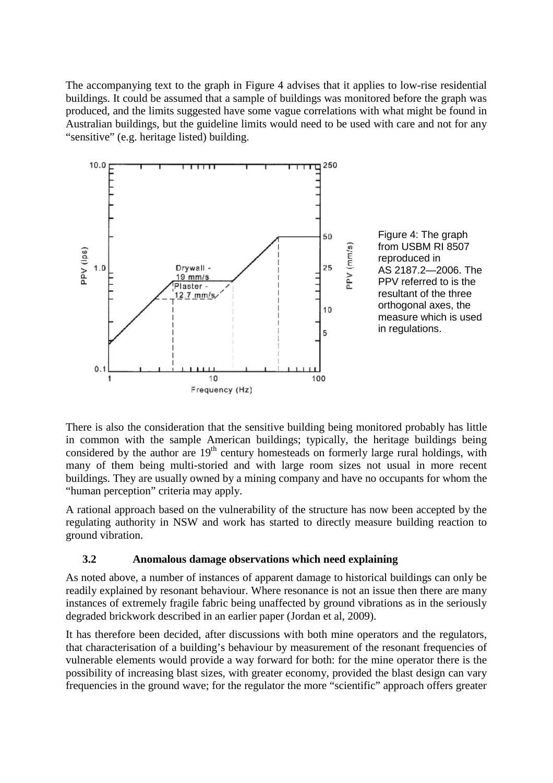The accompanying text to the graph in Figure 4 advises that it applies to low-rise residential buildings. It could be assumed that a sample of buildings was monitored before the graph was produced, and the limits suggested have some vague correlations with what might be found in Australian buildings, but the guideline limits would need to be used with care and not for any "sensitive" (e.g. heritage listed) building.



There is also the consideration that the sensitive building being monitored probably has little in common with the sample American buildings; typically, the heritage buildings being considered by the author are  $19<sup>th</sup>$  century homesteads on formerly large rural holdings, with many of them being multi-storied and with large room sizes not usual in more recent buildings. They are usually owned by a mining company and have no occupants for whom the "human perception" criteria may apply.

A rational approach based on the vulnerability of the structure has now been accepted by the regulating authority in NSW and work has started to directly measure building reaction to ground vibration.

## **3.2 Anomalous damage observations which need explaining**

As noted above, a number of instances of apparent damage to historical buildings can only be readily explained by resonant behaviour. Where resonance is not an issue then there are many instances of extremely fragile fabric being unaffected by ground vibrations as in the seriously degraded brickwork described in an earlier paper (Jordan et al, 2009).

It has therefore been decided, after discussions with both mine operators and the regulators, that characterisation of a building's behaviour by measurement of the resonant frequencies of vulnerable elements would provide a way forward for both: for the mine operator there is the possibility of increasing blast sizes, with greater economy, provided the blast design can vary frequencies in the ground wave; for the regulator the more "scientific" approach offers greater